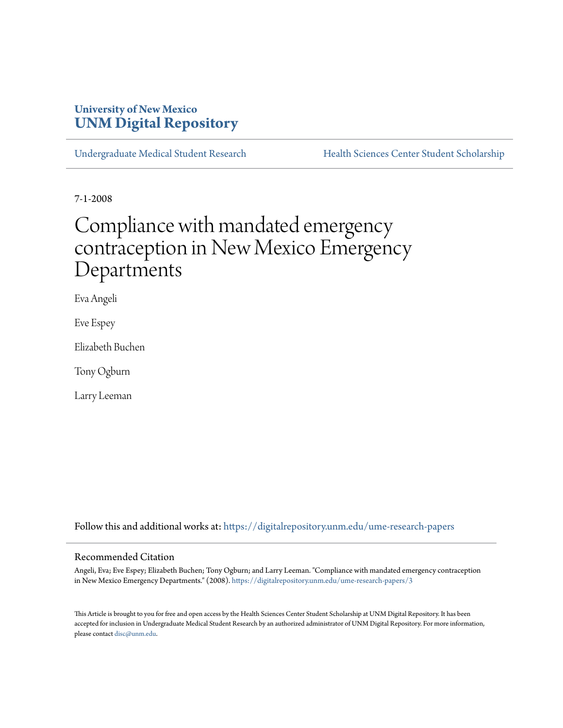# **University of New Mexico [UNM Digital Repository](https://digitalrepository.unm.edu?utm_source=digitalrepository.unm.edu%2Fume-research-papers%2F3&utm_medium=PDF&utm_campaign=PDFCoverPages)**

[Undergraduate Medical Student Research](https://digitalrepository.unm.edu/ume-research-papers?utm_source=digitalrepository.unm.edu%2Fume-research-papers%2F3&utm_medium=PDF&utm_campaign=PDFCoverPages) [Health Sciences Center Student Scholarship](https://digitalrepository.unm.edu/hsc-students?utm_source=digitalrepository.unm.edu%2Fume-research-papers%2F3&utm_medium=PDF&utm_campaign=PDFCoverPages)

7-1-2008

# Compliance with mandated emergency contraception in New Mexico Emergency Departments

Eva Angeli

Eve Espey

Elizabeth Buchen

Tony Ogburn

Larry Leeman

Follow this and additional works at: [https://digitalrepository.unm.edu/ume-research-papers](https://digitalrepository.unm.edu/ume-research-papers?utm_source=digitalrepository.unm.edu%2Fume-research-papers%2F3&utm_medium=PDF&utm_campaign=PDFCoverPages)

#### Recommended Citation

Angeli, Eva; Eve Espey; Elizabeth Buchen; Tony Ogburn; and Larry Leeman. "Compliance with mandated emergency contraception in New Mexico Emergency Departments." (2008). [https://digitalrepository.unm.edu/ume-research-papers/3](https://digitalrepository.unm.edu/ume-research-papers/3?utm_source=digitalrepository.unm.edu%2Fume-research-papers%2F3&utm_medium=PDF&utm_campaign=PDFCoverPages)

This Article is brought to you for free and open access by the Health Sciences Center Student Scholarship at UNM Digital Repository. It has been accepted for inclusion in Undergraduate Medical Student Research by an authorized administrator of UNM Digital Repository. For more information, please contact [disc@unm.edu.](mailto:disc@unm.edu)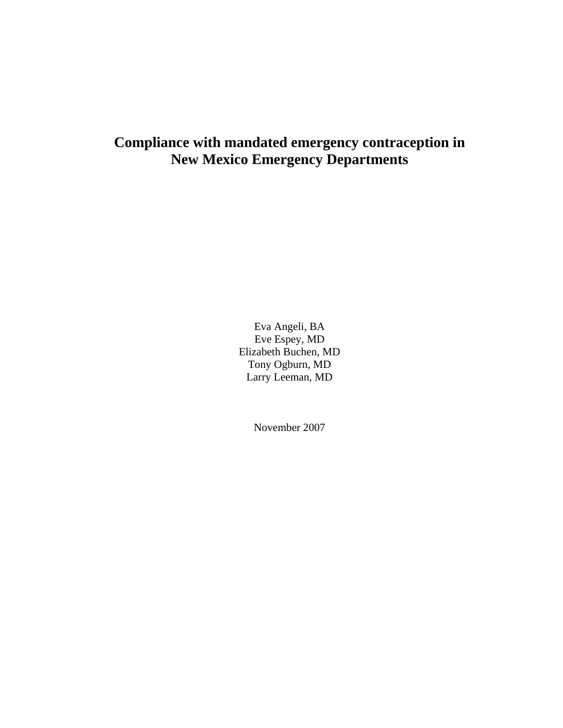# **Compliance with mandated emergency contraception in New Mexico Emergency Departments**

Eva Angeli, BA Eve Espey, MD Elizabeth Buchen, MD Tony Ogburn, MD Larry Leeman, MD

November 2007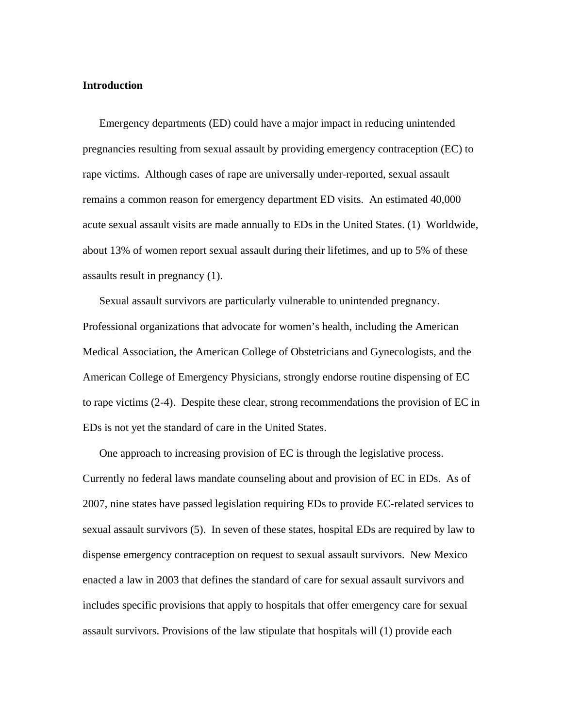#### **Introduction**

Emergency departments (ED) could have a major impact in reducing unintended pregnancies resulting from sexual assault by providing emergency contraception (EC) to rape victims. Although cases of rape are universally under-reported, sexual assault remains a common reason for emergency department ED visits. An estimated 40,000 acute sexual assault visits are made annually to EDs in the United States. (1) Worldwide, about 13% of women report sexual assault during their lifetimes, and up to 5% of these assaults result in pregnancy (1).

Sexual assault survivors are particularly vulnerable to unintended pregnancy. Professional organizations that advocate for women's health, including the American Medical Association, the American College of Obstetricians and Gynecologists, and the American College of Emergency Physicians, strongly endorse routine dispensing of EC to rape victims (2-4). Despite these clear, strong recommendations the provision of EC in EDs is not yet the standard of care in the United States.

One approach to increasing provision of EC is through the legislative process. Currently no federal laws mandate counseling about and provision of EC in EDs. As of 2007, nine states have passed legislation requiring EDs to provide EC-related services to sexual assault survivors (5). In seven of these states, hospital EDs are required by law to dispense emergency contraception on request to sexual assault survivors. New Mexico enacted a law in 2003 that defines the standard of care for sexual assault survivors and includes specific provisions that apply to hospitals that offer emergency care for sexual assault survivors. Provisions of the law stipulate that hospitals will (1) provide each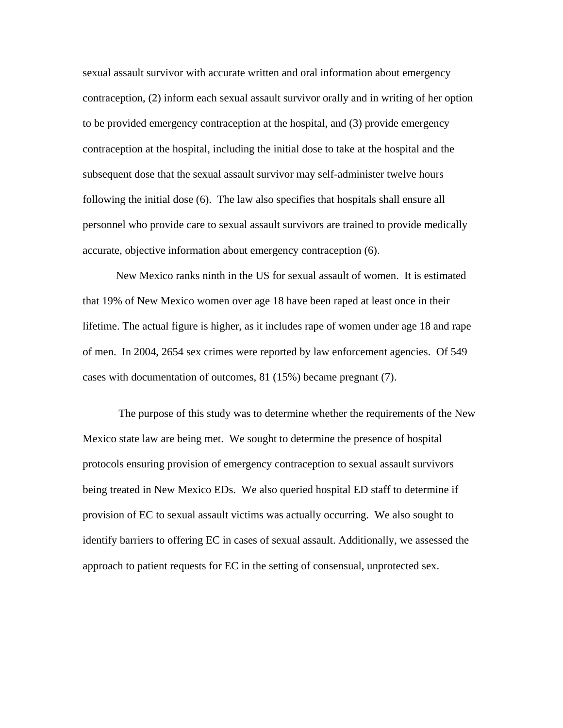sexual assault survivor with accurate written and oral information about emergency contraception, (2) inform each sexual assault survivor orally and in writing of her option to be provided emergency contraception at the hospital, and (3) provide emergency contraception at the hospital, including the initial dose to take at the hospital and the subsequent dose that the sexual assault survivor may self-administer twelve hours following the initial dose (6). The law also specifies that hospitals shall ensure all personnel who provide care to sexual assault survivors are trained to provide medically accurate, objective information about emergency contraception (6).

New Mexico ranks ninth in the US for sexual assault of women. It is estimated that 19% of New Mexico women over age 18 have been raped at least once in their lifetime. The actual figure is higher, as it includes rape of women under age 18 and rape of men. In 2004, 2654 sex crimes were reported by law enforcement agencies. Of 549 cases with documentation of outcomes, 81 (15%) became pregnant (7).

 The purpose of this study was to determine whether the requirements of the New Mexico state law are being met. We sought to determine the presence of hospital protocols ensuring provision of emergency contraception to sexual assault survivors being treated in New Mexico EDs. We also queried hospital ED staff to determine if provision of EC to sexual assault victims was actually occurring. We also sought to identify barriers to offering EC in cases of sexual assault. Additionally, we assessed the approach to patient requests for EC in the setting of consensual, unprotected sex.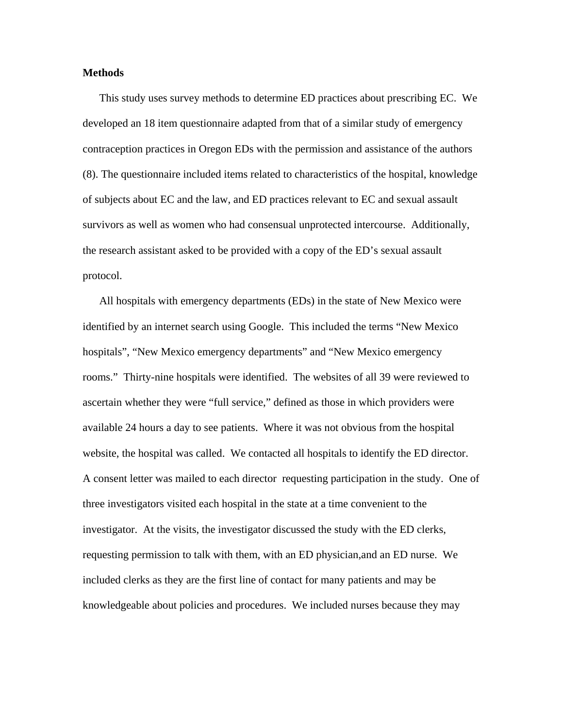#### **Methods**

This study uses survey methods to determine ED practices about prescribing EC. We developed an 18 item questionnaire adapted from that of a similar study of emergency contraception practices in Oregon EDs with the permission and assistance of the authors (8). The questionnaire included items related to characteristics of the hospital, knowledge of subjects about EC and the law, and ED practices relevant to EC and sexual assault survivors as well as women who had consensual unprotected intercourse. Additionally, the research assistant asked to be provided with a copy of the ED's sexual assault protocol.

All hospitals with emergency departments (EDs) in the state of New Mexico were identified by an internet search using Google. This included the terms "New Mexico hospitals", "New Mexico emergency departments" and "New Mexico emergency rooms." Thirty-nine hospitals were identified. The websites of all 39 were reviewed to ascertain whether they were "full service," defined as those in which providers were available 24 hours a day to see patients. Where it was not obvious from the hospital website, the hospital was called. We contacted all hospitals to identify the ED director. A consent letter was mailed to each director requesting participation in the study. One of three investigators visited each hospital in the state at a time convenient to the investigator. At the visits, the investigator discussed the study with the ED clerks, requesting permission to talk with them, with an ED physician,and an ED nurse. We included clerks as they are the first line of contact for many patients and may be knowledgeable about policies and procedures. We included nurses because they may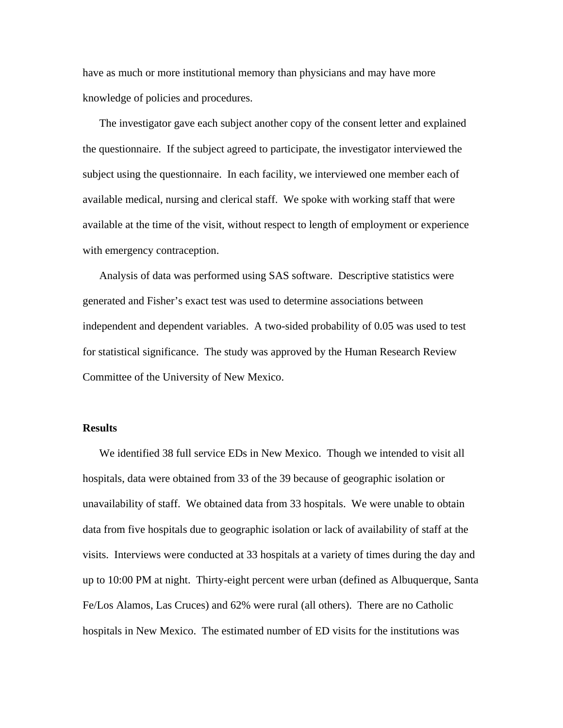have as much or more institutional memory than physicians and may have more knowledge of policies and procedures.

The investigator gave each subject another copy of the consent letter and explained the questionnaire. If the subject agreed to participate, the investigator interviewed the subject using the questionnaire. In each facility, we interviewed one member each of available medical, nursing and clerical staff. We spoke with working staff that were available at the time of the visit, without respect to length of employment or experience with emergency contraception.

Analysis of data was performed using SAS software. Descriptive statistics were generated and Fisher's exact test was used to determine associations between independent and dependent variables. A two-sided probability of 0.05 was used to test for statistical significance. The study was approved by the Human Research Review Committee of the University of New Mexico.

#### **Results**

We identified 38 full service EDs in New Mexico. Though we intended to visit all hospitals, data were obtained from 33 of the 39 because of geographic isolation or unavailability of staff. We obtained data from 33 hospitals. We were unable to obtain data from five hospitals due to geographic isolation or lack of availability of staff at the visits. Interviews were conducted at 33 hospitals at a variety of times during the day and up to 10:00 PM at night. Thirty-eight percent were urban (defined as Albuquerque, Santa Fe/Los Alamos, Las Cruces) and 62% were rural (all others). There are no Catholic hospitals in New Mexico. The estimated number of ED visits for the institutions was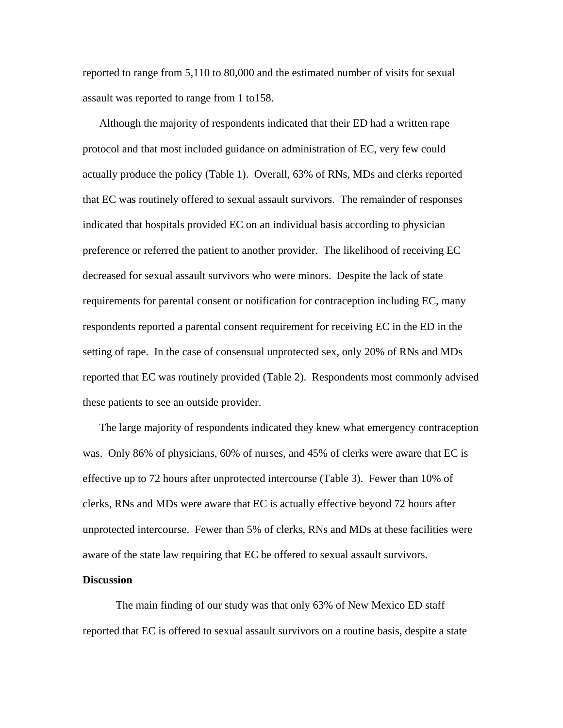reported to range from 5,110 to 80,000 and the estimated number of visits for sexual assault was reported to range from 1 to158.

Although the majority of respondents indicated that their ED had a written rape protocol and that most included guidance on administration of EC, very few could actually produce the policy (Table 1). Overall, 63% of RNs, MDs and clerks reported that EC was routinely offered to sexual assault survivors. The remainder of responses indicated that hospitals provided EC on an individual basis according to physician preference or referred the patient to another provider. The likelihood of receiving EC decreased for sexual assault survivors who were minors. Despite the lack of state requirements for parental consent or notification for contraception including EC, many respondents reported a parental consent requirement for receiving EC in the ED in the setting of rape. In the case of consensual unprotected sex, only 20% of RNs and MDs reported that EC was routinely provided (Table 2). Respondents most commonly advised these patients to see an outside provider.

The large majority of respondents indicated they knew what emergency contraception was. Only 86% of physicians, 60% of nurses, and 45% of clerks were aware that EC is effective up to 72 hours after unprotected intercourse (Table 3). Fewer than 10% of clerks, RNs and MDs were aware that EC is actually effective beyond 72 hours after unprotected intercourse. Fewer than 5% of clerks, RNs and MDs at these facilities were aware of the state law requiring that EC be offered to sexual assault survivors.

#### **Discussion**

The main finding of our study was that only 63% of New Mexico ED staff reported that EC is offered to sexual assault survivors on a routine basis, despite a state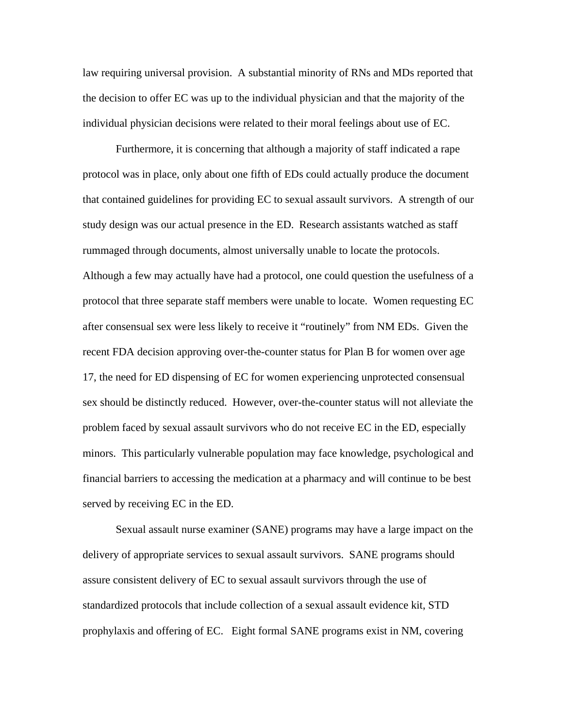law requiring universal provision. A substantial minority of RNs and MDs reported that the decision to offer EC was up to the individual physician and that the majority of the individual physician decisions were related to their moral feelings about use of EC.

Furthermore, it is concerning that although a majority of staff indicated a rape protocol was in place, only about one fifth of EDs could actually produce the document that contained guidelines for providing EC to sexual assault survivors. A strength of our study design was our actual presence in the ED. Research assistants watched as staff rummaged through documents, almost universally unable to locate the protocols. Although a few may actually have had a protocol, one could question the usefulness of a protocol that three separate staff members were unable to locate. Women requesting EC after consensual sex were less likely to receive it "routinely" from NM EDs. Given the recent FDA decision approving over-the-counter status for Plan B for women over age 17, the need for ED dispensing of EC for women experiencing unprotected consensual sex should be distinctly reduced. However, over-the-counter status will not alleviate the problem faced by sexual assault survivors who do not receive EC in the ED, especially minors. This particularly vulnerable population may face knowledge, psychological and financial barriers to accessing the medication at a pharmacy and will continue to be best served by receiving EC in the ED.

 Sexual assault nurse examiner (SANE) programs may have a large impact on the delivery of appropriate services to sexual assault survivors. SANE programs should assure consistent delivery of EC to sexual assault survivors through the use of standardized protocols that include collection of a sexual assault evidence kit, STD prophylaxis and offering of EC. Eight formal SANE programs exist in NM, covering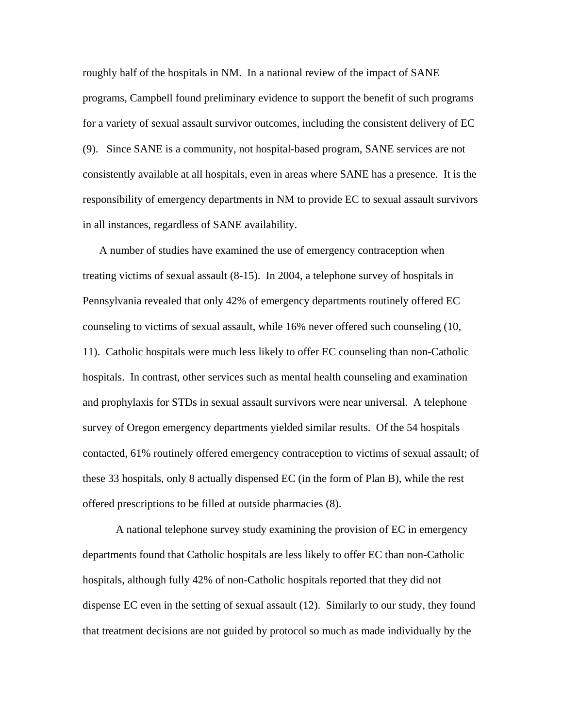roughly half of the hospitals in NM. In a national review of the impact of SANE programs, Campbell found preliminary evidence to support the benefit of such programs for a variety of sexual assault survivor outcomes, including the consistent delivery of EC (9). Since SANE is a community, not hospital-based program, SANE services are not consistently available at all hospitals, even in areas where SANE has a presence. It is the responsibility of emergency departments in NM to provide EC to sexual assault survivors in all instances, regardless of SANE availability.

A number of studies have examined the use of emergency contraception when treating victims of sexual assault (8-15). In 2004, a telephone survey of hospitals in Pennsylvania revealed that only 42% of emergency departments routinely offered EC counseling to victims of sexual assault, while 16% never offered such counseling (10, 11). Catholic hospitals were much less likely to offer EC counseling than non-Catholic hospitals. In contrast, other services such as mental health counseling and examination and prophylaxis for STDs in sexual assault survivors were near universal. A telephone survey of Oregon emergency departments yielded similar results. Of the 54 hospitals contacted, 61% routinely offered emergency contraception to victims of sexual assault; of these 33 hospitals, only 8 actually dispensed EC (in the form of Plan B), while the rest offered prescriptions to be filled at outside pharmacies (8).

 A national telephone survey study examining the provision of EC in emergency departments found that Catholic hospitals are less likely to offer EC than non-Catholic hospitals, although fully 42% of non-Catholic hospitals reported that they did not dispense EC even in the setting of sexual assault (12). Similarly to our study, they found that treatment decisions are not guided by protocol so much as made individually by the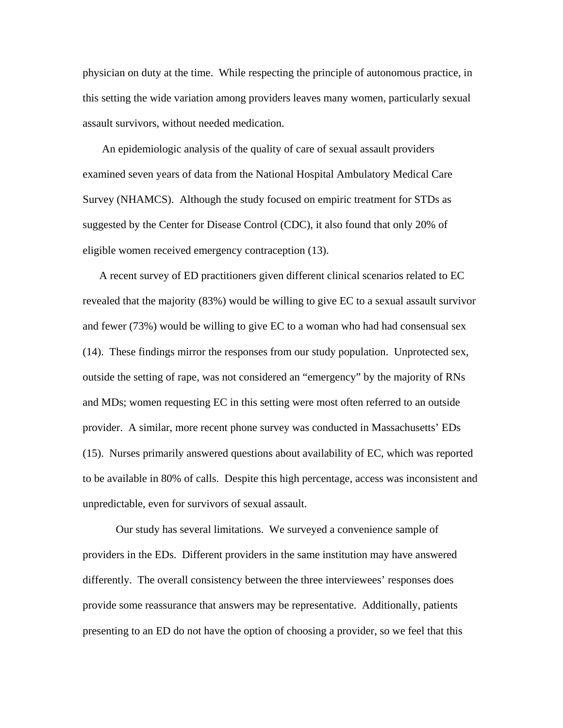physician on duty at the time. While respecting the principle of autonomous practice, in this setting the wide variation among providers leaves many women, particularly sexual assault survivors, without needed medication.

 An epidemiologic analysis of the quality of care of sexual assault providers examined seven years of data from the National Hospital Ambulatory Medical Care Survey (NHAMCS). Although the study focused on empiric treatment for STDs as suggested by the Center for Disease Control (CDC), it also found that only 20% of eligible women received emergency contraception (13).

A recent survey of ED practitioners given different clinical scenarios related to EC revealed that the majority (83%) would be willing to give EC to a sexual assault survivor and fewer (73%) would be willing to give EC to a woman who had had consensual sex (14). These findings mirror the responses from our study population. Unprotected sex, outside the setting of rape, was not considered an "emergency" by the majority of RNs and MDs; women requesting EC in this setting were most often referred to an outside provider. A similar, more recent phone survey was conducted in Massachusetts' EDs (15). Nurses primarily answered questions about availability of EC, which was reported to be available in 80% of calls. Despite this high percentage, access was inconsistent and unpredictable, even for survivors of sexual assault.

 Our study has several limitations. We surveyed a convenience sample of providers in the EDs. Different providers in the same institution may have answered differently. The overall consistency between the three interviewees' responses does provide some reassurance that answers may be representative. Additionally, patients presenting to an ED do not have the option of choosing a provider, so we feel that this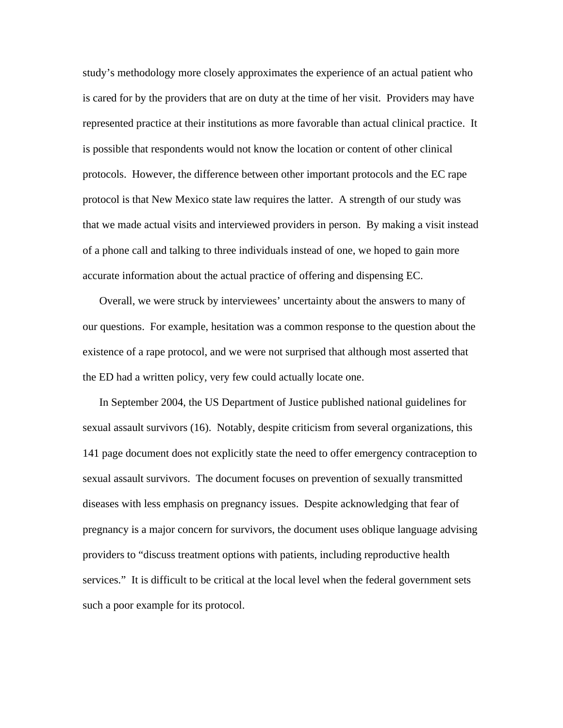study's methodology more closely approximates the experience of an actual patient who is cared for by the providers that are on duty at the time of her visit. Providers may have represented practice at their institutions as more favorable than actual clinical practice. It is possible that respondents would not know the location or content of other clinical protocols. However, the difference between other important protocols and the EC rape protocol is that New Mexico state law requires the latter. A strength of our study was that we made actual visits and interviewed providers in person. By making a visit instead of a phone call and talking to three individuals instead of one, we hoped to gain more accurate information about the actual practice of offering and dispensing EC.

Overall, we were struck by interviewees' uncertainty about the answers to many of our questions. For example, hesitation was a common response to the question about the existence of a rape protocol, and we were not surprised that although most asserted that the ED had a written policy, very few could actually locate one.

In September 2004, the US Department of Justice published national guidelines for sexual assault survivors (16). Notably, despite criticism from several organizations, this 141 page document does not explicitly state the need to offer emergency contraception to sexual assault survivors. The document focuses on prevention of sexually transmitted diseases with less emphasis on pregnancy issues. Despite acknowledging that fear of pregnancy is a major concern for survivors, the document uses oblique language advising providers to "discuss treatment options with patients, including reproductive health services." It is difficult to be critical at the local level when the federal government sets such a poor example for its protocol.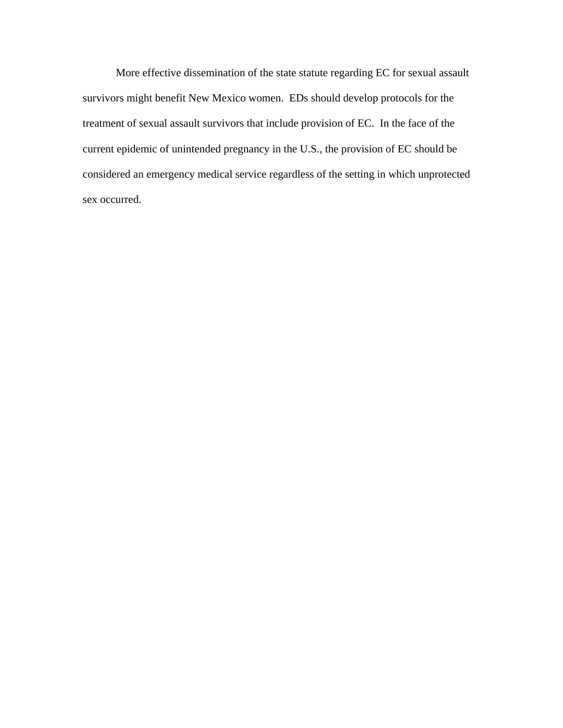More effective dissemination of the state statute regarding EC for sexual assault survivors might benefit New Mexico women. EDs should develop protocols for the treatment of sexual assault survivors that include provision of EC. In the face of the current epidemic of unintended pregnancy in the U.S., the provision of EC should be considered an emergency medical service regardless of the setting in which unprotected sex occurred.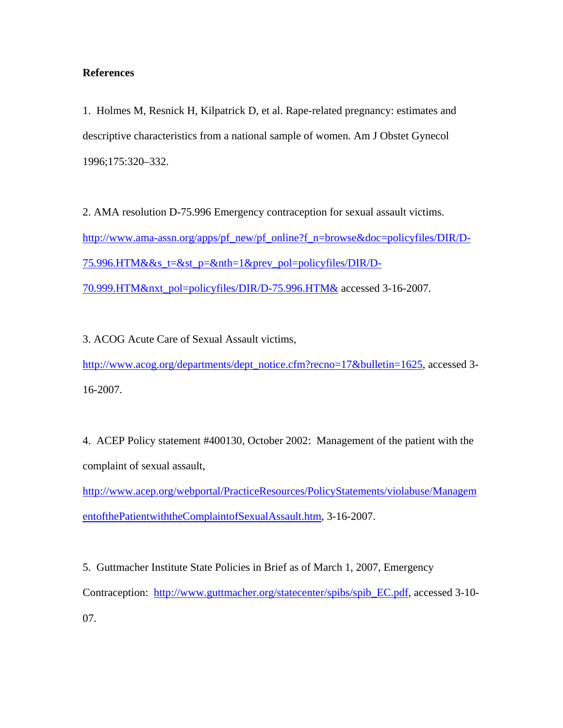#### **References**

1. Holmes M, Resnick H, Kilpatrick D, et al. Rape-related pregnancy: estimates and descriptive characteristics from a national sample of women. Am J Obstet Gynecol 1996;175:320–332.

2. AMA resolution D-75.996 Emergency contraception for sexual assault victims. [http://www.ama-assn.org/apps/pf\\_new/pf\\_online?f\\_n=browse&doc=policyfiles/DIR/D-](http://www.ama-assn.org/apps/pf_new/pf_online?f_n=browse&doc=policyfiles/DIR/D-75.996.HTM&&s_t=&st_p=&nth=1&prev_pol=policyfiles/DIR/D-70.999.HTM&nxt_pol=policyfiles/DIR/D-75.996.HTM&)[75.996.HTM&&s\\_t=&st\\_p=&nth=1&prev\\_pol=policyfiles/DIR/D-](http://www.ama-assn.org/apps/pf_new/pf_online?f_n=browse&doc=policyfiles/DIR/D-75.996.HTM&&s_t=&st_p=&nth=1&prev_pol=policyfiles/DIR/D-70.999.HTM&nxt_pol=policyfiles/DIR/D-75.996.HTM&)

[70.999.HTM&nxt\\_pol=policyfiles/DIR/D-75.996.HTM&](http://www.ama-assn.org/apps/pf_new/pf_online?f_n=browse&doc=policyfiles/DIR/D-75.996.HTM&&s_t=&st_p=&nth=1&prev_pol=policyfiles/DIR/D-70.999.HTM&nxt_pol=policyfiles/DIR/D-75.996.HTM&) accessed 3-16-2007.

3. ACOG Acute Care of Sexual Assault victims, [http://www.acog.org/departments/dept\\_notice.cfm?recno=17&bulletin=1625,](http://www.acog.org/departments/dept_notice.cfm?recno=17&bulletin=1625) accessed 3-16-2007.

4. ACEP Policy statement #400130, October 2002: Management of the patient with the complaint of sexual assault,

[http://www.acep.org/webportal/PracticeResources/PolicyStatements/violabuse/Managem](http://www.acep.org/webportal/PracticeResources/PolicyStatements/violabuse/ManagementofthePatientwiththeComplaintofSexualAssault.htm) [entofthePatientwiththeComplaintofSexualAssault.htm,](http://www.acep.org/webportal/PracticeResources/PolicyStatements/violabuse/ManagementofthePatientwiththeComplaintofSexualAssault.htm) 3-16-2007.

5. Guttmacher Institute State Policies in Brief as of March 1, 2007, Emergency Contraception: [http://www.guttmacher.org/statecenter/spibs/spib\\_EC.pdf](http://www.guttmacher.org/statecenter/spibs/spib_EC.pdf), accessed 3-10- 07.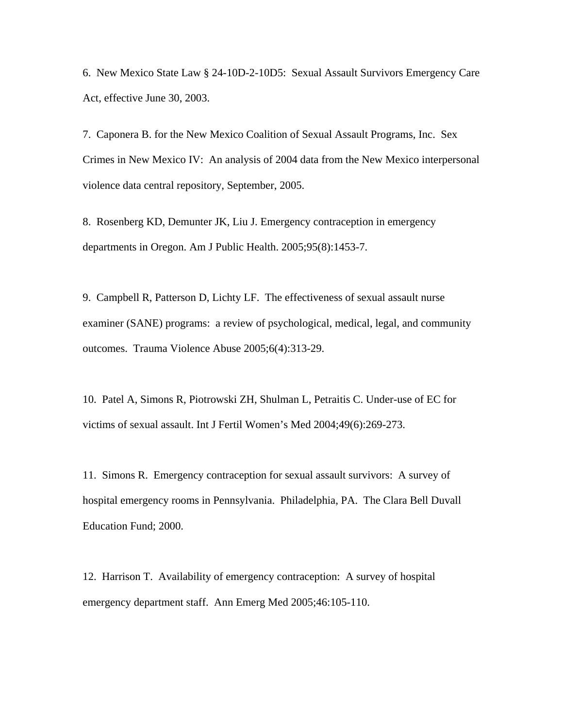6. New Mexico State Law § 24-10D-2-10D5: Sexual Assault Survivors Emergency Care Act, effective June 30, 2003.

7. Caponera B. for the New Mexico Coalition of Sexual Assault Programs, Inc. Sex Crimes in New Mexico IV: An analysis of 2004 data from the New Mexico interpersonal violence data central repository, September, 2005.

8. Rosenberg KD, Demunter JK, Liu J. Emergency contraception in emergency departments in Oregon. Am J Public Health. 2005;95(8):1453-7.

9. Campbell R, Patterson D, Lichty LF. The effectiveness of sexual assault nurse examiner (SANE) programs: a review of psychological, medical, legal, and community outcomes. Trauma Violence Abuse 2005;6(4):313-29.

10. Patel A, Simons R, Piotrowski ZH, Shulman L, Petraitis C. Under-use of EC for victims of sexual assault. Int J Fertil Women's Med 2004;49(6):269-273.

11. Simons R. Emergency contraception for sexual assault survivors: A survey of hospital emergency rooms in Pennsylvania. Philadelphia, PA. The Clara Bell Duvall Education Fund; 2000.

12. Harrison T. Availability of emergency contraception: A survey of hospital emergency department staff. Ann Emerg Med 2005;46:105-110.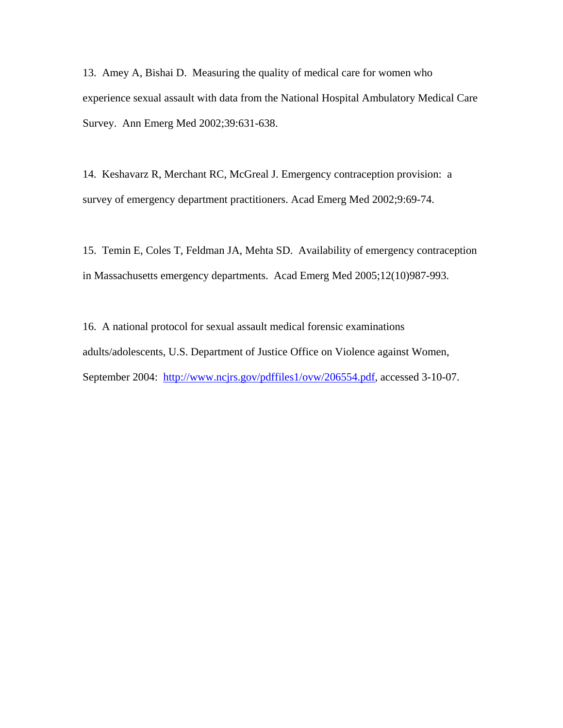13. Amey A, Bishai D. Measuring the quality of medical care for women who experience sexual assault with data from the National Hospital Ambulatory Medical Care Survey. Ann Emerg Med 2002;39:631-638.

14. Keshavarz R, Merchant RC, McGreal J. Emergency contraception provision: a survey of emergency department practitioners. Acad Emerg Med 2002;9:69-74.

15. Temin E, Coles T, Feldman JA, Mehta SD. Availability of emergency contraception in Massachusetts emergency departments. Acad Emerg Med 2005;12(10)987-993.

16. A national protocol for sexual assault medical forensic examinations adults/adolescents, U.S. Department of Justice Office on Violence against Women, September 2004: [http://www.ncjrs.gov/pdffiles1/ovw/206554.pdf,](http://www.ncjrs.gov/pdffiles1/ovw/206554.pdf) accessed 3-10-07.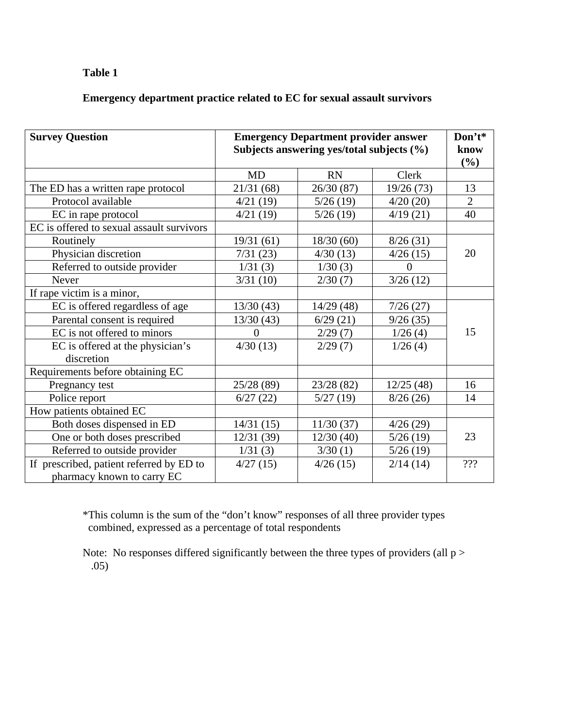# **Table 1**

# **Emergency department practice related to EC for sexual assault survivors**

| <b>Survey Question</b>                                                 | <b>Emergency Department provider answer</b><br>Subjects answering yes/total subjects (%) |            |           | Don't*<br>know<br>(%) |
|------------------------------------------------------------------------|------------------------------------------------------------------------------------------|------------|-----------|-----------------------|
|                                                                        | <b>MD</b>                                                                                | <b>RN</b>  | Clerk     |                       |
| The ED has a written rape protocol                                     | 21/31(68)                                                                                | 26/30 (87) | 19/26(73) | 13                    |
| Protocol available                                                     | 4/21(19)                                                                                 | 5/26(19)   | 4/20(20)  | $\overline{2}$        |
| EC in rape protocol                                                    | 4/21(19)                                                                                 | 5/26(19)   | 4/19(21)  | 40                    |
| EC is offered to sexual assault survivors                              |                                                                                          |            |           |                       |
| Routinely                                                              | 19/31(61)                                                                                | 18/30(60)  | 8/26(31)  | 20                    |
| Physician discretion                                                   | 7/31(23)                                                                                 | 4/30(13)   | 4/26(15)  |                       |
| Referred to outside provider                                           | 1/31(3)                                                                                  | 1/30(3)    | 0         |                       |
| Never                                                                  | 3/31(10)                                                                                 | 2/30(7)    | 3/26(12)  |                       |
| If rape victim is a minor,                                             |                                                                                          |            |           |                       |
| EC is offered regardless of age                                        | 13/30(43)                                                                                | 14/29(48)  | 7/26(27)  | 15                    |
| Parental consent is required                                           | 13/30(43)                                                                                | 6/29(21)   | 9/26(35)  |                       |
| EC is not offered to minors                                            | 0                                                                                        | 2/29(7)    | 1/26(4)   |                       |
| EC is offered at the physician's                                       | 4/30(13)                                                                                 | 2/29(7)    | 1/26(4)   |                       |
| discretion                                                             |                                                                                          |            |           |                       |
| Requirements before obtaining EC                                       |                                                                                          |            |           |                       |
| Pregnancy test                                                         | 25/28 (89)                                                                               | 23/28 (82) | 12/25(48) | 16                    |
| Police report                                                          | 6/27(22)                                                                                 | 5/27(19)   | 8/26(26)  | 14                    |
| How patients obtained EC                                               |                                                                                          |            |           |                       |
| Both doses dispensed in ED                                             | 14/31(15)                                                                                | 11/30(37)  | 4/26(29)  |                       |
| One or both doses prescribed                                           | 12/31(39)                                                                                | 12/30(40)  | 5/26(19)  | 23                    |
| Referred to outside provider                                           | 1/31(3)                                                                                  | 3/30(1)    | 5/26(19)  |                       |
| If prescribed, patient referred by ED to<br>pharmacy known to carry EC | 4/27(15)                                                                                 | 4/26(15)   | 2/14(14)  | ???                   |

\*This column is the sum of the "don't know" responses of all three provider types combined, expressed as a percentage of total respondents

Note: No responses differed significantly between the three types of providers (all  $p >$ .05)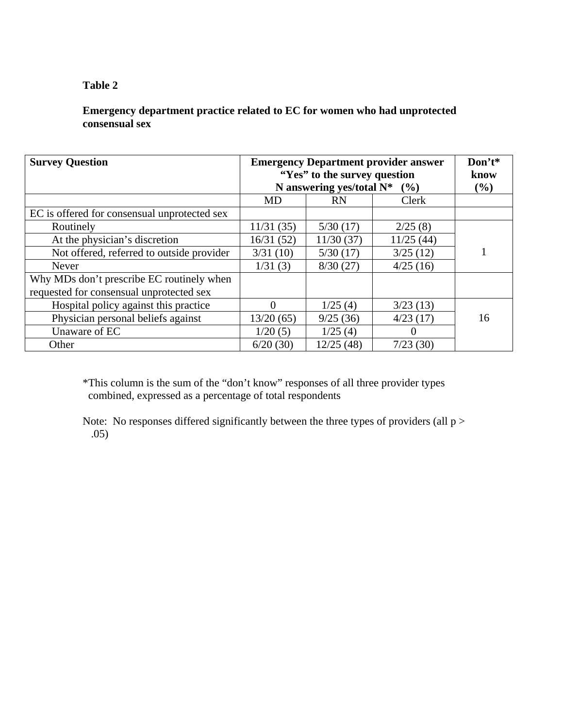#### **Table 2**

### **Emergency department practice related to EC for women who had unprotected consensual sex**

| <b>Survey Question</b>                       | <b>Emergency Department provider answer</b><br>"Yes" to the survey question<br>N answering yes/total $N^*$ (%) |            |           | Don't*<br>know<br>$(\%)$ |
|----------------------------------------------|----------------------------------------------------------------------------------------------------------------|------------|-----------|--------------------------|
|                                              | MD                                                                                                             | <b>RN</b>  | Clerk     |                          |
| EC is offered for consensual unprotected sex |                                                                                                                |            |           |                          |
| Routinely                                    | 11/31(35)                                                                                                      | 5/30(17)   | 2/25(8)   |                          |
| At the physician's discretion                | 16/31(52)                                                                                                      | 11/30(37)  | 11/25(44) |                          |
| Not offered, referred to outside provider    | 3/31(10)                                                                                                       | 5/30(17)   | 3/25(12)  |                          |
| Never                                        | 1/31(3)                                                                                                        | 8/30(27)   | 4/25(16)  |                          |
| Why MDs don't prescribe EC routinely when    |                                                                                                                |            |           |                          |
| requested for consensual unprotected sex     |                                                                                                                |            |           |                          |
| Hospital policy against this practice        | 0                                                                                                              | 1/25(4)    | 3/23(13)  |                          |
| Physician personal beliefs against           | 13/20(65)                                                                                                      | 9/25(36)   | 4/23(17)  | 16                       |
| Unaware of EC                                | 1/20(5)                                                                                                        | 1/25(4)    | $\theta$  |                          |
| Other                                        | 6/20(30)                                                                                                       | 12/25 (48) | 7/23(30)  |                          |

\*This column is the sum of the "don't know" responses of all three provider types combined, expressed as a percentage of total respondents

Note: No responses differed significantly between the three types of providers (all  $p >$ .05)